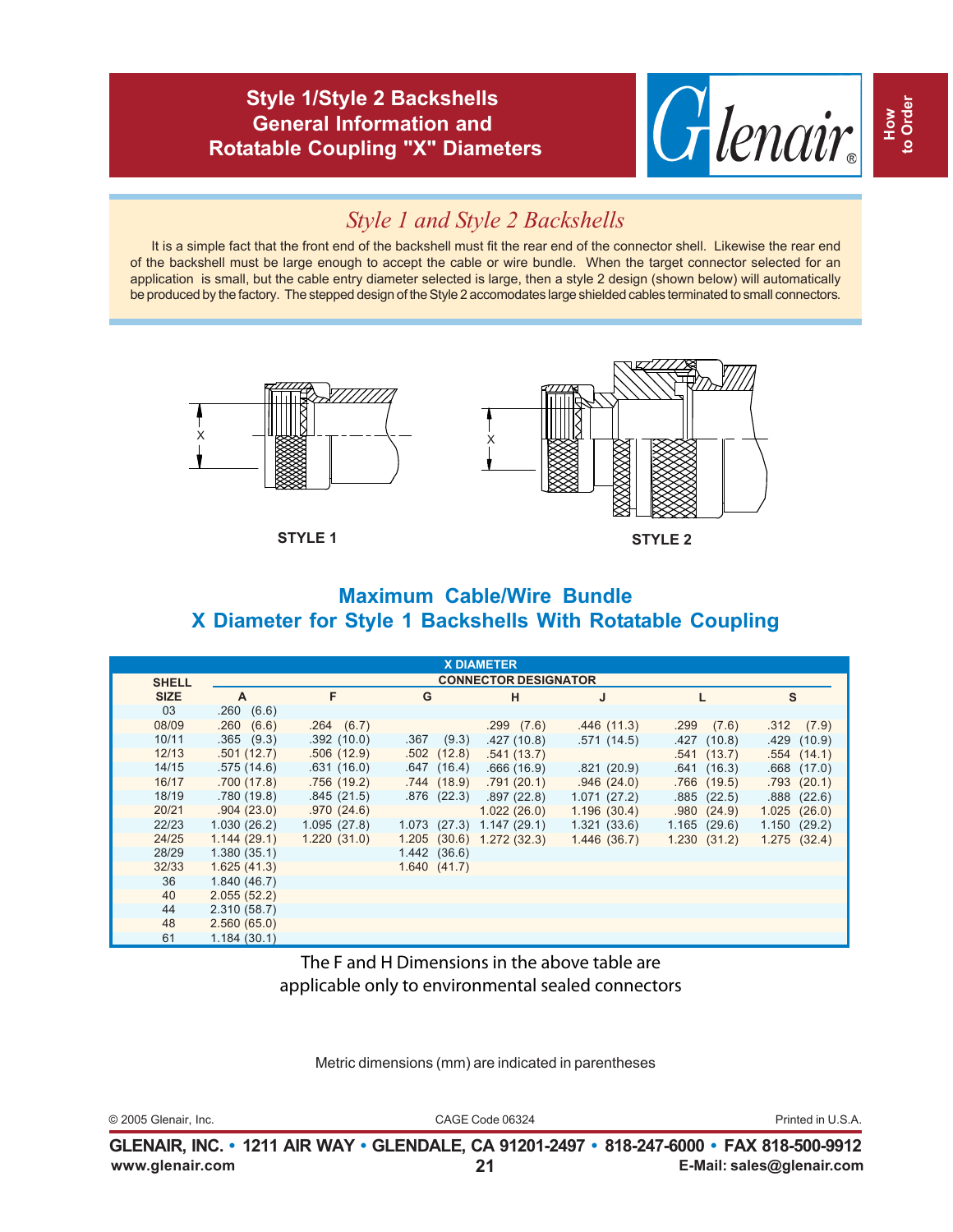#### **Style 1/Style 2 Backshells General Information and Rotatable Coupling "X" Diameters**



# *Style 1 and Style 2 Backshells*

It is a simple fact that the front end of the backshell must fit the rear end of the connector shell. Likewise the rear end of the backshell must be large enough to accept the cable or wire bundle. When the target connector selected for an application is small, but the cable entry diameter selected is large, then a style 2 design (shown below) will automatically be produced by the factory. The stepped design of the Style 2 accomodates large shielded cables terminated to small connectors.



**STYLE 1 STYLE 2**

## **Maximum Cable/Wire Bundle X Diameter for Style 1 Backshells With Rotatable Coupling**

|              |                             |             |              | <b>X DIAMETER</b>                 |             |               |                 |
|--------------|-----------------------------|-------------|--------------|-----------------------------------|-------------|---------------|-----------------|
| <b>SHELL</b> | <b>CONNECTOR DESIGNATOR</b> |             |              |                                   |             |               |                 |
| <b>SIZE</b>  | <b>A</b>                    | F           | G            | н                                 |             |               | S               |
| 03           | .260(6.6)                   |             |              |                                   |             |               |                 |
| 08/09        | .260(6.6)                   | .264(6.7)   |              | .299(7.6)                         | .446(11.3)  | .299<br>(7.6) | .312(7.9)       |
| 10/11        | $.365$ $(9.3)$              | .392(10.0)  | $.367$ (9.3) | .427(10.8)                        | .571(14.5)  | .427(10.8)    | .429(10.9)      |
| 12/13        | .501(12.7)                  | .506(12.9)  | .502(12.8)   | .541(13.7)                        |             | .541(13.7)    | .554(14.1)      |
| 14/15        | .575(14.6)                  | .631(16.0)  | .647(16.4)   | .666(16.9)                        | .821(20.9)  | .641(16.3)    | $.668$ $(17.0)$ |
| 16/17        | .700(17.8)                  | .756(19.2)  | .744(18.9)   | .791(20.1)                        | .946(24.0)  | $.766$ (19.5) | .793(20.1)      |
| 18/19        | .780(19.8)                  | .845(21.5)  | .876(22.3)   | .897 (22.8)                       | 1.071(27.2) | .885(22.5)    | .888(22.6)      |
| 20/21        | .904(23.0)                  | .970(24.6)  |              | 1.022(26.0)                       | 1.196(30.4) | .980(24.9)    | 1.025(26.0)     |
| 22/23        | 1.030(26.2)                 | 1.095(27.8) | 1.073(27.3)  | 1.147(29.1)                       | 1.321(33.6) | 1.165(29.6)   | 1.150(29.2)     |
| 24/25        | 1.144(29.1)                 | 1.220(31.0) |              | $1.205$ $(30.6)$ $1.272$ $(32.3)$ | 1.446(36.7) | 1.230(31.2)   | 1.275(32.4)     |
| 28/29        | 1.380(35.1)                 |             | 1.442(36.6)  |                                   |             |               |                 |
| 32/33        | 1.625(41.3)                 |             | 1.640(41.7)  |                                   |             |               |                 |
| 36           | 1.840(46.7)                 |             |              |                                   |             |               |                 |
| 40           | 2.055(52.2)                 |             |              |                                   |             |               |                 |
| 44           | 2.310(58.7)                 |             |              |                                   |             |               |                 |
| 48           | 2.560(65.0)                 |             |              |                                   |             |               |                 |
| 61           | 1.184(30.1)                 |             |              |                                   |             |               |                 |

The F and H Dimensions in the above table are applicable only to environmental sealed connectors

Metric dimensions (mm) are indicated in parentheses

© 2005 Glenair, Inc. CAGE Code 06324 Printed in U.S.A.